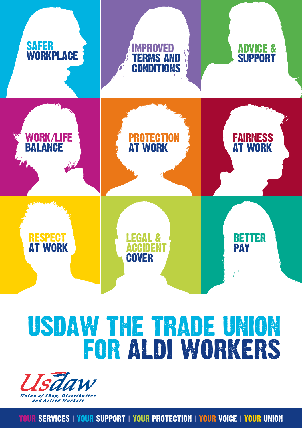

## USDAW THE TRADE UNION FOR ALDI WORKERS



YOUR SERVICES **|** YOUR SUPPORT **|** YOUR PROTECTION **|** YOUR VOICE **|** YOUR UNION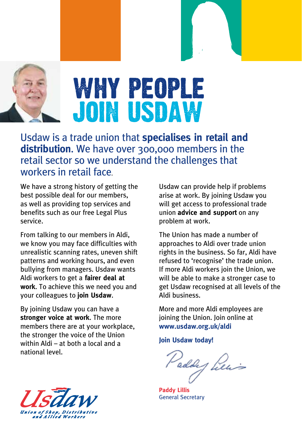

Usdaw is a trade union that **specialises in retail and distribution**. We have over 300,000 members in the retail sector so we understand the challenges that workers in retail face.

We have a strong history of getting the best possible deal for our members, as well as providing top services and benefits such as our free Legal Plus service.

From talking to our members in Aldi, we know you may face difficulties with unrealistic scanning rates, uneven shift patterns and working hours, and even bullying from managers. Usdaw wants Aldi workers to get a **fairer deal at work**. To achieve this we need you and your colleagues to **join Usdaw**.

By joining Usdaw you can have a **stronger voice at work**. The more members there are at your workplace, the stronger the voice of the Union within Aldi – at both a local and a national level.

Usdaw can provide help if problems arise at work. By joining Usdaw you will get access to professional trade union **advice and support** on any problem at work.

The Union has made a number of approaches to Aldi over trade union rights in the business. So far, Aldi have refused to 'recognise' the trade union. If more Aldi workers join the Union, we will be able to make a stronger case to get Usdaw recognised at all levels of the Aldi business.

More and more Aldi employees are joining the Union. Join online at **www.usdaw.org.uk/aldi**

**Join Usdaw today!**

Paddy Piens

**Paddy Lillis** General Secretary

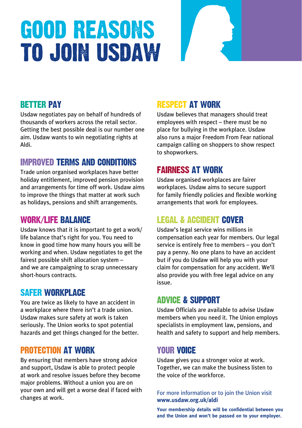## good reasons to join usdaw

#### BETTER PAY

Usdaw negotiates pay on behalf of hundreds of thousands of workers across the retail sector. Getting the best possible deal is our number one aim. Usdaw wants to win negotiating rights at Aldi.

#### IMPROVED TERMS AND CONDITIONS

Trade union organised workplaces have better holiday entitlement, improved pension provision and arrangements for time off work. Usdaw aims to improve the things that matter at work such as holidays, pensions and shift arrangements.

#### WORK/LIFE BALANCE

Usdaw knows that it is important to get a work/ life balance that's right for you. You need to know in good time how many hours you will be working and when. Usdaw negotiates to get the fairest possible shift allocation system – and we are campaigning to scrap unnecessary short-hours contracts.

#### SAFER WORKPLACE

You are twice as likely to have an accident in a workplace where there isn't a trade union. Usdaw makes sure safety at work is taken seriously. The Union works to spot potential hazards and get things changed for the better.

#### PROTECTION AT WORK

By ensuring that members have strong advice and support, Usdaw is able to protect people at work and resolve issues before they become major problems. Without a union you are on your own and will get a worse deal if faced with changes at work.

#### RESPECT AT WORK

Usdaw believes that managers should treat employees with respect – there must be no place for bullying in the workplace. Usdaw also runs a major Freedom From Fear national campaign calling on shoppers to show respect to shopworkers.

#### FAIRNESS AT WORK

Usdaw organised workplaces are fairer workplaces. Usdaw aims to secure support for family friendly policies and flexible working arrangements that work for employees.

#### LEGAL & ACCIDENT COVER

Usdaw's legal service wins millions in compensation each year for members. Our legal service is entirely free to members – you don't pay a penny. No one plans to have an accident but if you do Usdaw will help you with your claim for compensation for any accident. We'll also provide you with free legal advice on any issue.

#### ADVICE & SUPPORT

Usdaw Officials are available to advise Usdaw members when you need it. The Union employs specialists in employment law, pensions, and health and safety to support and help members.

#### YOUR VOICE

Usdaw gives you a stronger voice at work. Together, we can make the business listen to the voice of the workforce.

For more information or to join the Union visit **www.usdaw.org.uk/aldi**

**Your membership details will be confidential between you and the Union and won't be passed on to your employer.**